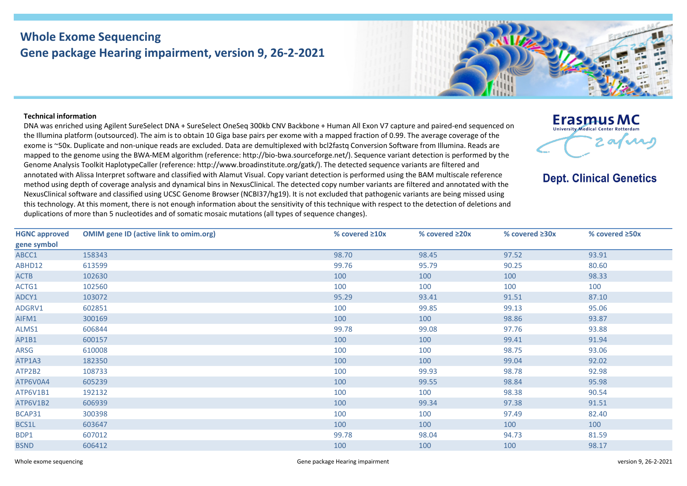## **Whole Exome Sequencing Gene package Hearing impairment, version 9, 26-2-2021**

## **Technical information**

DNA was enriched using Agilent SureSelect DNA + SureSelect OneSeq 300kb CNV Backbone + Human All Exon V7 capture and paired-end sequenced on the Illumina platform (outsourced). The aim is to obtain 10 Giga base pairs per exome with a mapped fraction of 0.99. The average coverage of the exome is ~50x. Duplicate and non-unique reads are excluded. Data are demultiplexed with bcl2fastq Conversion Software from Illumina. Reads are mapped to the genome using the BWA-MEM algorithm (reference: http://bio-bwa.sourceforge.net/). Sequence variant detection is performed by the Genome Analysis Toolkit HaplotypeCaller (reference: http://www.broadinstitute.org/gatk/). The detected sequence variants are filtered and annotated with Alissa Interpret software and classified with Alamut Visual. Copy variant detection is performed using the BAM multiscale reference method using depth of coverage analysis and dynamical bins in NexusClinical. The detected copy number variants are filtered and annotated with the NexusClinical software and classified using UCSC Genome Browser (NCBI37/hg19). It is not excluded that pathogenic variants are being missed using this technology. At this moment, there is not enough information about the sensitivity of this technique with respect to the detection of deletions and duplications of more than 5 nucleotides and of somatic mosaic mutations (all types of sequence changes).



**Dept. Clinical Genetics** 

| <b>HGNC approved</b> | <b>OMIM gene ID (active link to omim.org)</b> | % covered $\geq 10x$ | % covered $\geq 20x$ | % covered $\geq 30x$ | % covered $\geq$ 50x |
|----------------------|-----------------------------------------------|----------------------|----------------------|----------------------|----------------------|
| gene symbol          |                                               |                      |                      |                      |                      |
| ABCC1                | 158343                                        | 98.70                | 98.45                | 97.52                | 93.91                |
| ABHD12               | 613599                                        | 99.76                | 95.79                | 90.25                | 80.60                |
| <b>ACTB</b>          | 102630                                        | 100                  | 100                  | 100                  | 98.33                |
| ACTG1                | 102560                                        | 100                  | 100                  | 100                  | 100                  |
| ADCY1                | 103072                                        | 95.29                | 93.41                | 91.51                | 87.10                |
| ADGRV1               | 602851                                        | 100                  | 99.85                | 99.13                | 95.06                |
| AIFM1                | 300169                                        | 100                  | 100                  | 98.86                | 93.87                |
| ALMS1                | 606844                                        | 99.78                | 99.08                | 97.76                | 93.88                |
| AP1B1                | 600157                                        | 100                  | 100                  | 99.41                | 91.94                |
| ARSG                 | 610008                                        | 100                  | 100                  | 98.75                | 93.06                |
| ATP1A3               | 182350                                        | 100                  | 100                  | 99.04                | 92.02                |
| ATP2B2               | 108733                                        | 100                  | 99.93                | 98.78                | 92.98                |
| ATP6V0A4             | 605239                                        | 100                  | 99.55                | 98.84                | 95.98                |
| ATP6V1B1             | 192132                                        | 100                  | 100                  | 98.38                | 90.54                |
| ATP6V1B2             | 606939                                        | 100                  | 99.34                | 97.38                | 91.51                |
| BCAP31               | 300398                                        | 100                  | 100                  | 97.49                | 82.40                |
| BCS1L                | 603647                                        | 100                  | 100                  | 100                  | 100                  |
| BDP1                 | 607012                                        | 99.78                | 98.04                | 94.73                | 81.59                |
| <b>BSND</b>          | 606412                                        | 100                  | 100                  | 100                  | 98.17                |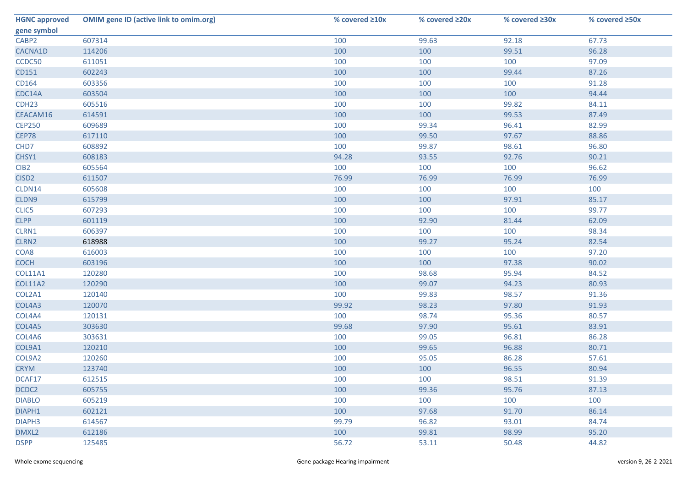| <b>HGNC approved</b> | <b>OMIM gene ID (active link to omim.org)</b> | % covered ≥10x | % covered ≥20x | % covered ≥30x | % covered ≥50x |
|----------------------|-----------------------------------------------|----------------|----------------|----------------|----------------|
| gene symbol          |                                               |                |                |                |                |
| CABP2                | 607314                                        | 100            | 99.63          | 92.18          | 67.73          |
| CACNA1D              | 114206                                        | 100            | 100            | 99.51          | 96.28          |
| CCDC50               | 611051                                        | 100            | 100            | 100            | 97.09          |
| CD151                | 602243                                        | 100            | 100            | 99.44          | 87.26          |
| CD164                | 603356                                        | 100            | 100            | 100            | 91.28          |
| CDC14A               | 603504                                        | 100            | 100            | 100            | 94.44          |
| CDH <sub>23</sub>    | 605516                                        | 100            | 100            | 99.82          | 84.11          |
| CEACAM16             | 614591                                        | 100            | 100            | 99.53          | 87.49          |
| <b>CEP250</b>        | 609689                                        | 100            | 99.34          | 96.41          | 82.99          |
| CEP78                | 617110                                        | 100            | 99.50          | 97.67          | 88.86          |
| CHD7                 | 608892                                        | 100            | 99.87          | 98.61          | 96.80          |
| CHSY1                | 608183                                        | 94.28          | 93.55          | 92.76          | 90.21          |
| CIB <sub>2</sub>     | 605564                                        | 100            | 100            | 100            | 96.62          |
| CISD <sub>2</sub>    | 611507                                        | 76.99          | 76.99          | 76.99          | 76.99          |
| CLDN14               | 605608                                        | 100            | 100            | 100            | 100            |
| CLDN9                | 615799                                        | 100            | 100            | 97.91          | 85.17          |
| CLIC5                | 607293                                        | 100            | 100            | 100            | 99.77          |
| <b>CLPP</b>          | 601119                                        | 100            | 92.90          | 81.44          | 62.09          |
| CLRN1                | 606397                                        | 100            | 100            | 100            | 98.34          |
| CLRN2                | 618988                                        | 100            | 99.27          | 95.24          | 82.54          |
| COA8                 | 616003                                        | 100            | 100            | 100            | 97.20          |
| <b>COCH</b>          | 603196                                        | 100            | 100            | 97.38          | 90.02          |
| COL11A1              | 120280                                        | 100            | 98.68          | 95.94          | 84.52          |
| <b>COL11A2</b>       | 120290                                        | 100            | 99.07          | 94.23          | 80.93          |
| COL2A1               | 120140                                        | 100            | 99.83          | 98.57          | 91.36          |
| COL4A3               | 120070                                        | 99.92          | 98.23          | 97.80          | 91.93          |
| COL4A4               | 120131                                        | 100            | 98.74          | 95.36          | 80.57          |
| COL4A5               | 303630                                        | 99.68          | 97.90          | 95.61          | 83.91          |
| COL4A6               | 303631                                        | 100            | 99.05          | 96.81          | 86.28          |
| COL9A1               | 120210                                        | 100            | 99.65          | 96.88          | 80.71          |
| COL9A2               | 120260                                        | 100            | 95.05          | 86.28          | 57.61          |
| <b>CRYM</b>          | 123740                                        | 100            | 100            | 96.55          | 80.94          |
| DCAF17               | 612515                                        | 100            | 100            | 98.51          | 91.39          |
| DCDC2                | 605755                                        | 100            | 99.36          | 95.76          | 87.13          |
| <b>DIABLO</b>        | 605219                                        | 100            | 100            | 100            | 100            |
| DIAPH1               | 602121                                        | 100            | 97.68          | 91.70          | 86.14          |
| DIAPH3               | 614567                                        | 99.79          | 96.82          | 93.01          | 84.74          |
| DMXL2                | 612186                                        | 100            | 99.81          | 98.99          | 95.20          |
| <b>DSPP</b>          | 125485                                        | 56.72          | 53.11          | 50.48          | 44.82          |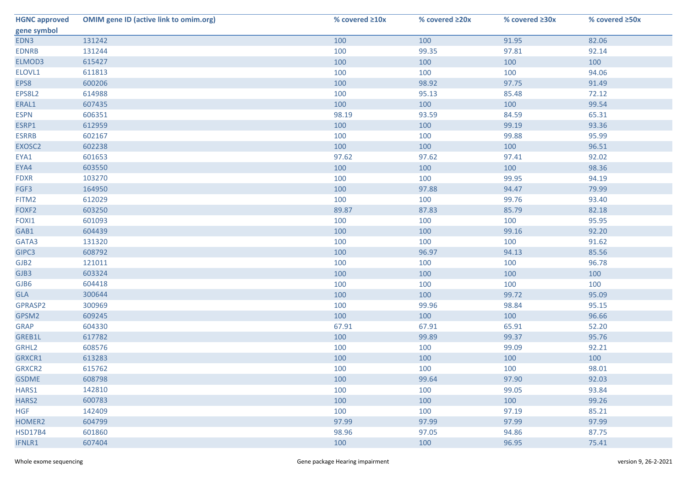| <b>HGNC approved</b> | <b>OMIM gene ID (active link to omim.org)</b> | % covered ≥10x | % covered ≥20x | % covered ≥30x | % covered ≥50x |
|----------------------|-----------------------------------------------|----------------|----------------|----------------|----------------|
| gene symbol          |                                               |                |                |                |                |
| EDN3                 | 131242                                        | 100            | 100            | 91.95          | 82.06          |
| <b>EDNRB</b>         | 131244                                        | 100            | 99.35          | 97.81          | 92.14          |
| ELMOD3               | 615427                                        | 100            | 100            | 100            | 100            |
| ELOVL1               | 611813                                        | 100            | 100            | 100            | 94.06          |
| EPS8                 | 600206                                        | 100            | 98.92          | 97.75          | 91.49          |
| EPS8L2               | 614988                                        | 100            | 95.13          | 85.48          | 72.12          |
| ERAL1                | 607435                                        | 100            | 100            | 100            | 99.54          |
| <b>ESPN</b>          | 606351                                        | 98.19          | 93.59          | 84.59          | 65.31          |
| ESRP1                | 612959                                        | 100            | 100            | 99.19          | 93.36          |
| <b>ESRRB</b>         | 602167                                        | 100            | 100            | 99.88          | 95.99          |
| EXOSC2               | 602238                                        | 100            | 100            | 100            | 96.51          |
| EYA1                 | 601653                                        | 97.62          | 97.62          | 97.41          | 92.02          |
| EYA4                 | 603550                                        | 100            | 100            | 100            | 98.36          |
| <b>FDXR</b>          | 103270                                        | 100            | 100            | 99.95          | 94.19          |
| FGF3                 | 164950                                        | 100            | 97.88          | 94.47          | 79.99          |
| FITM2                | 612029                                        | 100            | 100            | 99.76          | 93.40          |
| FOXF2                | 603250                                        | 89.87          | 87.83          | 85.79          | 82.18          |
| FOXI1                | 601093                                        | 100            | 100            | 100            | 95.95          |
| GAB1                 | 604439                                        | 100            | 100            | 99.16          | 92.20          |
| GATA3                | 131320                                        | 100            | 100            | 100            | 91.62          |
| GIPC3                | 608792                                        | 100            | 96.97          | 94.13          | 85.56          |
| GJB <sub>2</sub>     | 121011                                        | 100            | 100            | 100            | 96.78          |
| GJB3                 | 603324                                        | 100            | 100            | 100            | 100            |
| GJB6                 | 604418                                        | 100            | 100            | 100            | 100            |
| GLA                  | 300644                                        | 100            | 100            | 99.72          | 95.09          |
| GPRASP2              | 300969                                        | 100            | 99.96          | 98.84          | 95.15          |
| GPSM2                | 609245                                        | 100            | 100            | 100            | 96.66          |
| <b>GRAP</b>          | 604330                                        | 67.91          | 67.91          | 65.91          | 52.20          |
| GREB1L               | 617782                                        | 100            | 99.89          | 99.37          | 95.76          |
| GRHL2                | 608576                                        | 100            | 100            | 99.09          | 92.21          |
| GRXCR1               | 613283                                        | 100            | 100            | 100            | 100            |
| GRXCR2               | 615762                                        | 100            | 100            | 100            | 98.01          |
| <b>GSDME</b>         | 608798                                        | 100            | 99.64          | 97.90          | 92.03          |
| HARS1                | 142810                                        | 100            | 100            | 99.05          | 93.84          |
| HARS2                | 600783                                        | 100            | 100            | 100            | 99.26          |
| <b>HGF</b>           | 142409                                        | 100            | 100            | 97.19          | 85.21          |
| HOMER2               | 604799                                        | 97.99          | 97.99          | 97.99          | 97.99          |
| <b>HSD17B4</b>       | 601860                                        | 98.96          | 97.05          | 94.86          | 87.75          |
| IFNLR1               | 607404                                        | 100            | 100            | 96.95          | 75.41          |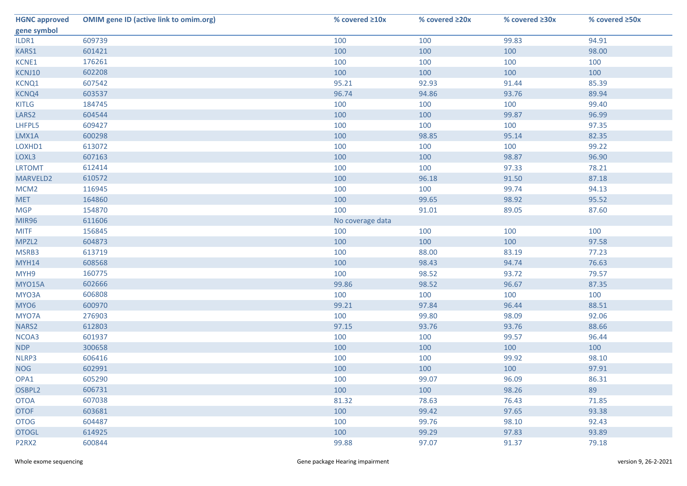| <b>HGNC approved</b>           | <b>OMIM gene ID (active link to omim.org)</b> | % covered ≥10x   | % covered ≥20x | % covered ≥30x | % covered ≥50x |
|--------------------------------|-----------------------------------------------|------------------|----------------|----------------|----------------|
| gene symbol                    |                                               |                  |                |                |                |
| ILDR1                          | 609739                                        | 100              | 100            | 99.83          | 94.91          |
| KARS1                          | 601421                                        | 100              | 100            | 100            | 98.00          |
| KCNE1                          | 176261                                        | 100              | 100            | 100            | 100            |
| KCNJ10                         | 602208                                        | 100              | 100            | 100            | 100            |
| KCNQ1                          | 607542                                        | 95.21            | 92.93          | 91.44          | 85.39          |
| KCNQ4                          | 603537                                        | 96.74            | 94.86          | 93.76          | 89.94          |
| <b>KITLG</b>                   | 184745                                        | 100              | 100            | 100            | 99.40          |
| LARS <sub>2</sub>              | 604544                                        | 100              | 100            | 99.87          | 96.99          |
| LHFPL5                         | 609427                                        | 100              | 100            | 100            | 97.35          |
| LMX1A                          | 600298                                        | 100              | 98.85          | 95.14          | 82.35          |
| LOXHD1                         | 613072                                        | 100              | 100            | 100            | 99.22          |
| LOXL3                          | 607163                                        | 100              | 100            | 98.87          | 96.90          |
| <b>LRTOMT</b>                  | 612414                                        | 100              | 100            | 97.33          | 78.21          |
| MARVELD2                       | 610572                                        | 100              | 96.18          | 91.50          | 87.18          |
| MCM <sub>2</sub>               | 116945                                        | 100              | 100            | 99.74          | 94.13          |
| <b>MET</b>                     | 164860                                        | 100              | 99.65          | 98.92          | 95.52          |
| <b>MGP</b>                     | 154870                                        | 100              | 91.01          | 89.05          | 87.60          |
| <b>MIR96</b>                   | 611606                                        | No coverage data |                |                |                |
| <b>MITF</b>                    | 156845                                        | 100              | 100            | 100            | 100            |
| MPZL2                          | 604873                                        | 100              | 100            | 100            | 97.58          |
| MSRB3                          | 613719                                        | 100              | 88.00          | 83.19          | 77.23          |
| <b>MYH14</b>                   | 608568                                        | 100              | 98.43          | 94.74          | 76.63          |
| MYH9                           | 160775                                        | 100              | 98.52          | 93.72          | 79.57          |
| MYO15A                         | 602666                                        | 99.86            | 98.52          | 96.67          | 87.35          |
| MYO3A                          | 606808                                        | 100              | 100            | 100            | 100            |
| MYO6                           | 600970                                        | 99.21            | 97.84          | 96.44          | 88.51          |
| MYO7A                          | 276903                                        | 100              | 99.80          | 98.09          | 92.06          |
| NARS2                          | 612803                                        | 97.15            | 93.76          | 93.76          | 88.66          |
| NCOA3                          | 601937                                        | 100              | 100            | 99.57          | 96.44          |
| <b>NDP</b>                     | 300658                                        | 100              | 100            | 100            | 100            |
| NLRP3                          | 606416                                        | 100              | 100            | 99.92          | 98.10          |
| <b>NOG</b>                     | 602991                                        | 100              | 100            | 100            | 97.91          |
| OPA1                           | 605290                                        | 100              | 99.07          | 96.09          | 86.31          |
| OSBPL2                         | 606731                                        | 100              | 100            | 98.26          | 89             |
| <b>OTOA</b>                    | 607038                                        | 81.32            | 78.63          | 76.43          | 71.85          |
| <b>OTOF</b>                    | 603681                                        | 100              | 99.42          | 97.65          | 93.38          |
| <b>OTOG</b>                    | 604487                                        | 100              | 99.76          | 98.10          | 92.43          |
| <b>OTOGL</b>                   | 614925                                        | 100              | 99.29          | 97.83          | 93.89          |
| P <sub>2</sub> R <sub>X2</sub> | 600844                                        | 99.88            | 97.07          | 91.37          | 79.18          |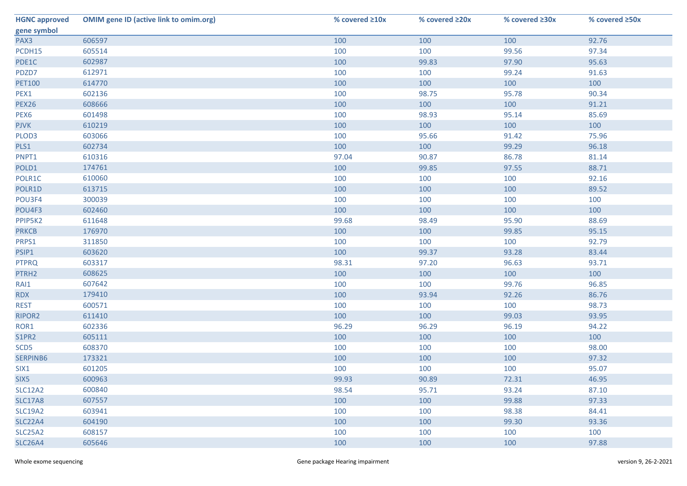| <b>HGNC approved</b> | <b>OMIM gene ID (active link to omim.org)</b> | % covered ≥10x | % covered ≥20x | % covered ≥30x | % covered ≥50x |
|----------------------|-----------------------------------------------|----------------|----------------|----------------|----------------|
| gene symbol          |                                               |                |                |                |                |
| PAX3                 | 606597                                        | 100            | 100            | 100            | 92.76          |
| PCDH15               | 605514                                        | 100            | 100            | 99.56          | 97.34          |
| PDE1C                | 602987                                        | 100            | 99.83          | 97.90          | 95.63          |
| PDZD7                | 612971                                        | 100            | 100            | 99.24          | 91.63          |
| <b>PET100</b>        | 614770                                        | 100            | 100            | 100            | 100            |
| PEX1                 | 602136                                        | 100            | 98.75          | 95.78          | 90.34          |
| <b>PEX26</b>         | 608666                                        | 100            | 100            | 100            | 91.21          |
| PEX <sub>6</sub>     | 601498                                        | 100            | 98.93          | 95.14          | 85.69          |
| <b>PJVK</b>          | 610219                                        | 100            | 100            | 100            | 100            |
| PLOD3                | 603066                                        | 100            | 95.66          | 91.42          | 75.96          |
| PLS1                 | 602734                                        | 100            | 100            | 99.29          | 96.18          |
| PNPT1                | 610316                                        | 97.04          | 90.87          | 86.78          | 81.14          |
| POLD1                | 174761                                        | 100            | 99.85          | 97.55          | 88.71          |
| POLR1C               | 610060                                        | 100            | 100            | 100            | 92.16          |
| POLR1D               | 613715                                        | 100            | 100            | 100            | 89.52          |
| POU3F4               | 300039                                        | 100            | 100            | 100            | 100            |
| POU4F3               | 602460                                        | 100            | 100            | 100            | 100            |
| PPIP5K2              | 611648                                        | 99.68          | 98.49          | 95.90          | 88.69          |
| <b>PRKCB</b>         | 176970                                        | 100            | 100            | 99.85          | 95.15          |
| PRPS1                | 311850                                        | 100            | 100            | 100            | 92.79          |
| PSIP1                | 603620                                        | 100            | 99.37          | 93.28          | 83.44          |
| <b>PTPRQ</b>         | 603317                                        | 98.31          | 97.20          | 96.63          | 93.71          |
| PTRH2                | 608625                                        | 100            | 100            | 100            | 100            |
| RAI1                 | 607642                                        | 100            | 100            | 99.76          | 96.85          |
| <b>RDX</b>           | 179410                                        | 100            | 93.94          | 92.26          | 86.76          |
| <b>REST</b>          | 600571                                        | 100            | 100            | 100            | 98.73          |
| RIPOR2               | 611410                                        | 100            | 100            | 99.03          | 93.95          |
| ROR1                 | 602336                                        | 96.29          | 96.29          | 96.19          | 94.22          |
| S1PR2                | 605111                                        | 100            | 100            | 100            | 100            |
| SCD <sub>5</sub>     | 608370                                        | 100            | 100            | 100            | 98.00          |
| SERPINB6             | 173321                                        | 100            | 100            | 100            | 97.32          |
| SIX1                 | 601205                                        | 100            | 100            | 100            | 95.07          |
| SIX5                 | 600963                                        | 99.93          | 90.89          | 72.31          | 46.95          |
| <b>SLC12A2</b>       | 600840                                        | 98.54          | 95.71          | 93.24          | 87.10          |
| <b>SLC17A8</b>       | 607557                                        | 100            | 100            | 99.88          | 97.33          |
| <b>SLC19A2</b>       | 603941                                        | 100            | 100            | 98.38          | 84.41          |
| <b>SLC22A4</b>       | 604190                                        | 100            | 100            | 99.30          | 93.36          |
| <b>SLC25A2</b>       | 608157                                        | 100            | 100            | 100            | 100            |
| <b>SLC26A4</b>       | 605646                                        | 100            | 100            | 100            | 97.88          |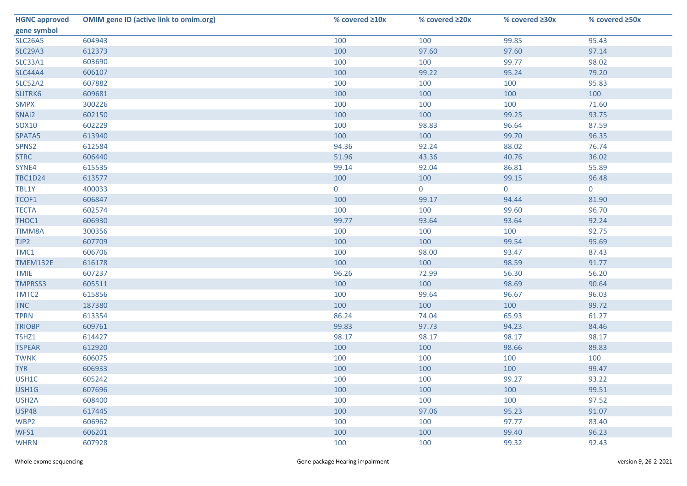| <b>HGNC approved</b> | <b>OMIM gene ID (active link to omim.org)</b> | % covered ≥10x | % covered ≥20x | % covered ≥30x | % covered ≥50x |
|----------------------|-----------------------------------------------|----------------|----------------|----------------|----------------|
| gene symbol          |                                               |                |                |                |                |
| <b>SLC26A5</b>       | 604943                                        | 100            | 100            | 99.85          | 95.43          |
| <b>SLC29A3</b>       | 612373                                        | 100            | 97.60          | 97.60          | 97.14          |
| SLC33A1              | 603690                                        | 100            | 100            | 99.77          | 98.02          |
| <b>SLC44A4</b>       | 606107                                        | 100            | 99.22          | 95.24          | 79.20          |
| SLC52A2              | 607882                                        | 100            | 100            | 100            | 95.83          |
| SLITRK6              | 609681                                        | 100            | 100            | 100            | 100            |
| <b>SMPX</b>          | 300226                                        | 100            | 100            | 100            | 71.60          |
| SNAI2                | 602150                                        | 100            | 100            | 99.25          | 93.75          |
| SOX10                | 602229                                        | 100            | 98.83          | 96.64          | 87.59          |
| SPATA5               | 613940                                        | 100            | 100            | 99.70          | 96.35          |
| SPNS2                | 612584                                        | 94.36          | 92.24          | 88.02          | 76.74          |
| <b>STRC</b>          | 606440                                        | 51.96          | 43.36          | 40.76          | 36.02          |
| SYNE4                | 615535                                        | 99.14          | 92.04          | 86.81          | 55.89          |
| <b>TBC1D24</b>       | 613577                                        | 100            | 100            | 99.15          | 96.48          |
| TBL1Y                | 400033                                        | $\mathbf 0$    | $\overline{0}$ | 0              | $\mathbf 0$    |
| TCOF1                | 606847                                        | 100            | 99.17          | 94.44          | 81.90          |
| <b>TECTA</b>         | 602574                                        | 100            | 100            | 99.60          | 96.70          |
| THOC1                | 606930                                        | 99.77          | 93.64          | 93.64          | 92.24          |
| <b>TIMM8A</b>        | 300356                                        | 100            | 100            | 100            | 92.75          |
| TJP2                 | 607709                                        | 100            | 100            | 99.54          | 95.69          |
| TMC1                 | 606706                                        | 100            | 98.00          | 93.47          | 87.43          |
| TMEM132E             | 616178                                        | 100            | 100            | 98.59          | 91.77          |
| <b>TMIE</b>          | 607237                                        | 96.26          | 72.99          | 56.30          | 56.20          |
| <b>TMPRSS3</b>       | 605511                                        | 100            | 100            | 98.69          | 90.64          |
| TMTC2                | 615856                                        | 100            | 99.64          | 96.67          | 96.03          |
| <b>TNC</b>           | 187380                                        | 100            | 100            | 100            | 99.72          |
| <b>TPRN</b>          | 613354                                        | 86.24          | 74.04          | 65.93          | 61.27          |
| <b>TRIOBP</b>        | 609761                                        | 99.83          | 97.73          | 94.23          | 84.46          |
| TSHZ1                | 614427                                        | 98.17          | 98.17          | 98.17          | 98.17          |
| <b>TSPEAR</b>        | 612920                                        | 100            | 100            | 98.66          | 89.83          |
| <b>TWNK</b>          | 606075                                        | 100            | 100            | 100            | 100            |
| <b>TYR</b>           | 606933                                        | 100            | 100            | 100            | 99.47          |
| USH1C                | 605242                                        | 100            | 100            | 99.27          | 93.22          |
| USH1G                | 607696                                        | 100            | 100            | 100            | 99.51          |
| USH <sub>2</sub> A   | 608400                                        | 100            | 100            | 100            | 97.52          |
| <b>USP48</b>         | 617445                                        | 100            | 97.06          | 95.23          | 91.07          |
| WBP2                 | 606962                                        | 100            | 100            | 97.77          | 83.40          |
| WFS1                 | 606201                                        | 100            | 100            | 99.40          | 96.23          |
| <b>WHRN</b>          | 607928                                        | 100            | 100            | 99.32          | 92.43          |